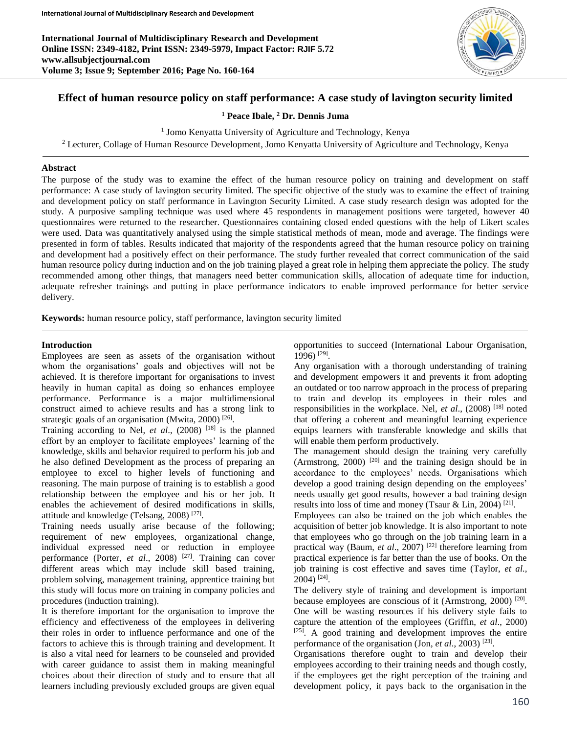**International Journal of Multidisciplinary Research and Development Online ISSN: 2349-4182, Print ISSN: 2349-5979, Impact Factor: RJIF 5.72 www.allsubjectjournal.com Volume 3; Issue 9; September 2016; Page No. 160-164**



# **Effect of human resource policy on staff performance: A case study of lavington security limited**

**<sup>1</sup> Peace Ibale, <sup>2</sup> Dr. Dennis Juma**

<sup>1</sup> Jomo Kenyatta University of Agriculture and Technology, Kenya

<sup>2</sup> Lecturer, Collage of Human Resource Development, Jomo Kenyatta University of Agriculture and Technology, Kenya

# **Abstract**

The purpose of the study was to examine the effect of the human resource policy on training and development on staff performance: A case study of lavington security limited. The specific objective of the study was to examine the effect of training and development policy on staff performance in Lavington Security Limited. A case study research design was adopted for the study. A purposive sampling technique was used where 45 respondents in management positions were targeted, however 40 questionnaires were returned to the researcher. Questionnaires containing closed ended questions with the help of Likert scales were used. Data was quantitatively analysed using the simple statistical methods of mean, mode and average. The findings were presented in form of tables. Results indicated that majority of the respondents agreed that the human resource policy on training and development had a positively effect on their performance. The study further revealed that correct communication of the said human resource policy during induction and on the job training played a great role in helping them appreciate the policy. The study recommended among other things, that managers need better communication skills, allocation of adequate time for induction, adequate refresher trainings and putting in place performance indicators to enable improved performance for better service delivery.

**Keywords:** human resource policy, staff performance, lavington security limited

#### **Introduction**

Employees are seen as assets of the organisation without whom the organisations' goals and objectives will not be achieved. It is therefore important for organisations to invest heavily in human capital as doing so enhances employee performance. Performance is a major multidimensional construct aimed to achieve results and has a strong link to strategic goals of an organisation (Mwita, 2000)<sup>[26]</sup>.

Training according to Nel, *et al*., (2008) [18] is the planned effort by an employer to facilitate employees' learning of the knowledge, skills and behavior required to perform his job and he also defined Development as the process of preparing an employee to excel to higher levels of functioning and reasoning. The main purpose of training is to establish a good relationship between the employee and his or her job. It enables the achievement of desired modifications in skills, attitude and knowledge (Telsang, 2008)<sup>[27]</sup>.

Training needs usually arise because of the following; requirement of new employees, organizational change, individual expressed need or reduction in employee performance (Porter, *et al.*, 2008)<sup>[27]</sup>. Training can cover different areas which may include skill based training, problem solving, management training, apprentice training but this study will focus more on training in company policies and procedures (induction training).

It is therefore important for the organisation to improve the efficiency and effectiveness of the employees in delivering their roles in order to influence performance and one of the factors to achieve this is through training and development. It is also a vital need for learners to be counseled and provided with career guidance to assist them in making meaningful choices about their direction of study and to ensure that all learners including previously excluded groups are given equal opportunities to succeed (International Labour Organisation, 1996) [29] .

Any organisation with a thorough understanding of training and development empowers it and prevents it from adopting an outdated or too narrow approach in the process of preparing to train and develop its employees in their roles and responsibilities in the workplace. Nel, *et al*., (2008) [18] noted that offering a coherent and meaningful learning experience equips learners with transferable knowledge and skills that will enable them perform productively.

The management should design the training very carefully (Armstrong,  $2000$ )<sup>[20]</sup> and the training design should be in accordance to the employees' needs. Organisations which develop a good training design depending on the employees' needs usually get good results, however a bad training design results into loss of time and money (Tsaur & Lin, 2004)<sup>[21]</sup>.

Employees can also be trained on the job which enables the acquisition of better job knowledge. It is also important to note that employees who go through on the job training learn in a practical way (Baum, *et al*., 2007) [22] therefore learning from practical experience is far better than the use of books. On the job training is cost effective and saves time (Taylor, *et al.,*  2004) [24] .

The delivery style of training and development is important because employees are conscious of it (Armstrong, 2000)<sup>[20]</sup>. One will be wasting resources if his delivery style fails to capture the attention of the employees (Griffin, *et al*., 2000) [25]. A good training and development improves the entire performance of the organisation (Jon, *et al.*, 2003)<sup>[23]</sup>.

Organisations therefore ought to train and develop their employees according to their training needs and though costly, if the employees get the right perception of the training and development policy, it pays back to the organisation in the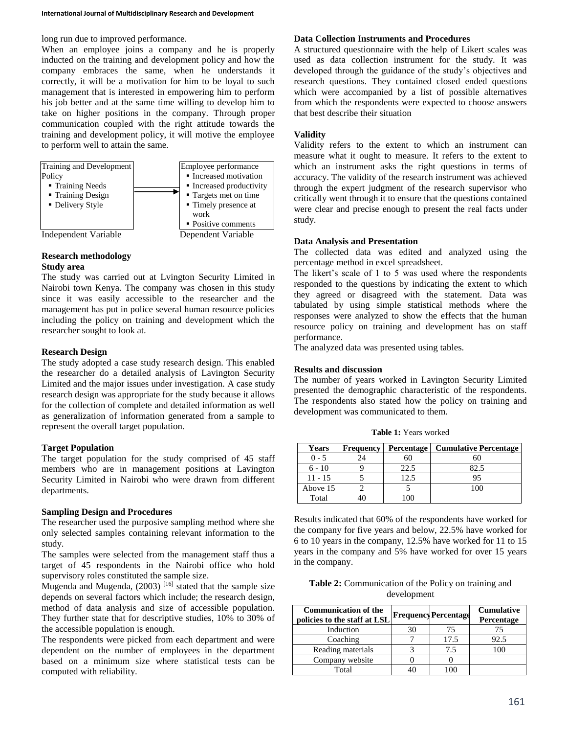long run due to improved performance.

When an employee joins a company and he is properly inducted on the training and development policy and how the company embraces the same, when he understands it correctly, it will be a motivation for him to be loyal to such management that is interested in empowering him to perform his job better and at the same time willing to develop him to take on higher positions in the company. Through proper communication coupled with the right attitude towards the training and development policy, it will motive the employee to perform well to attain the same.



#### **Research methodology Study area**

The study was carried out at Lvington Security Limited in Nairobi town Kenya. The company was chosen in this study since it was easily accessible to the researcher and the management has put in police several human resource policies including the policy on training and development which the researcher sought to look at.

# **Research Design**

The study adopted a case study research design. This enabled the researcher do a detailed analysis of Lavington Security Limited and the major issues under investigation. A case study research design was appropriate for the study because it allows for the collection of complete and detailed information as well as generalization of information generated from a sample to represent the overall target population.

### **Target Population**

The target population for the study comprised of 45 staff members who are in management positions at Lavington Security Limited in Nairobi who were drawn from different departments.

#### **Sampling Design and Procedures**

The researcher used the purposive sampling method where she only selected samples containing relevant information to the study.

The samples were selected from the management staff thus a target of 45 respondents in the Nairobi office who hold supervisory roles constituted the sample size.

Mugenda and Mugenda,  $(2003)$ <sup>[16]</sup> stated that the sample size depends on several factors which include; the research design, method of data analysis and size of accessible population. They further state that for descriptive studies, 10% to 30% of the accessible population is enough.

The respondents were picked from each department and were dependent on the number of employees in the department based on a minimum size where statistical tests can be computed with reliability.

# **Data Collection Instruments and Procedures**

A structured questionnaire with the help of Likert scales was used as data collection instrument for the study. It was developed through the guidance of the study's objectives and research questions. They contained closed ended questions which were accompanied by a list of possible alternatives from which the respondents were expected to choose answers that best describe their situation

# **Validity**

Validity refers to the extent to which an instrument can measure what it ought to measure. It refers to the extent to which an instrument asks the right questions in terms of accuracy. The validity of the research instrument was achieved through the expert judgment of the research supervisor who critically went through it to ensure that the questions contained were clear and precise enough to present the real facts under study.

# **Data Analysis and Presentation**

The collected data was edited and analyzed using the percentage method in excel spreadsheet.

The likert's scale of 1 to 5 was used where the respondents responded to the questions by indicating the extent to which they agreed or disagreed with the statement. Data was tabulated by using simple statistical methods where the responses were analyzed to show the effects that the human resource policy on training and development has on staff performance.

The analyzed data was presented using tables.

Total 40 100

### **Results and discussion**

The number of years worked in Lavington Security Limited presented the demographic characteristic of the respondents. The respondents also stated how the policy on training and development was communicated to them.

| <b>Years</b> | <b>Frequency</b> | <b>Percentage</b> | <b>Cumulative Percentage</b> |
|--------------|------------------|-------------------|------------------------------|
| 0 - 5        | 24               |                   |                              |
| $6 - 10$     |                  | 22.5              |                              |
| $11 - 15$    |                  | 2.5               | 95                           |
| Above 15     |                  |                   | 100                          |

**Table 1:** Years worked

Results indicated that 60% of the respondents have worked for the company for five years and below, 22.5% have worked for 6 to 10 years in the company, 12.5% have worked for 11 to 15 years in the company and 5% have worked for over 15 years in the company.

| <b>Table 2:</b> Communication of the Policy on training and |
|-------------------------------------------------------------|
| development                                                 |

| <b>Communication of the</b><br>policies to the staff at LSL |    | <b>Frequency Percentage</b> | <b>Cumulative</b><br>Percentage |
|-------------------------------------------------------------|----|-----------------------------|---------------------------------|
| Induction                                                   | 30 | 75                          |                                 |
| Coaching                                                    |    | 17.5                        | 92.5                            |
| Reading materials                                           |    | 7.5                         | 100                             |
| Company website                                             |    |                             |                                 |
| Total                                                       |    |                             |                                 |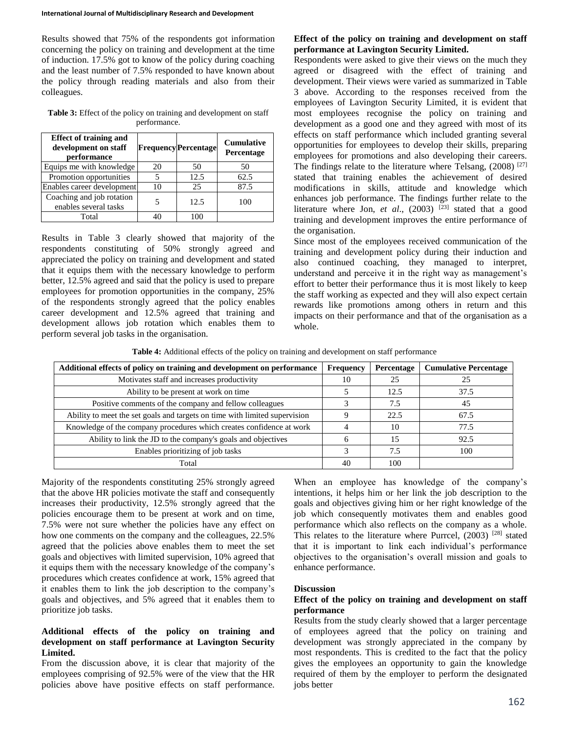Results showed that 75% of the respondents got information concerning the policy on training and development at the time of induction. 17.5% got to know of the policy during coaching and the least number of 7.5% responded to have known about the policy through reading materials and also from their colleagues.

Table 3: Effect of the policy on training and development on staff performance.

| <b>Effect of training and</b><br>development on staff<br>performance |    | <b>Frequency Percentage</b> | <b>Cumulative</b><br>Percentage |
|----------------------------------------------------------------------|----|-----------------------------|---------------------------------|
| Equips me with knowledge                                             | 20 | 50                          | 50                              |
| Promotion opportunities                                              |    | 12.5                        | 62.5                            |
| Enables career development                                           | 10 | 25                          | 87.5                            |
| Coaching and job rotation<br>enables several tasks                   |    | 12.5                        | 100                             |
| Total                                                                |    | 100                         |                                 |

Results in Table 3 clearly showed that majority of the respondents constituting of 50% strongly agreed and appreciated the policy on training and development and stated that it equips them with the necessary knowledge to perform better, 12.5% agreed and said that the policy is used to prepare employees for promotion opportunities in the company, 25% of the respondents strongly agreed that the policy enables career development and 12.5% agreed that training and development allows job rotation which enables them to perform several job tasks in the organisation.

## **Effect of the policy on training and development on staff performance at Lavington Security Limited.**

Respondents were asked to give their views on the much they agreed or disagreed with the effect of training and development. Their views were varied as summarized in Table 3 above. According to the responses received from the employees of Lavington Security Limited, it is evident that most employees recognise the policy on training and development as a good one and they agreed with most of its effects on staff performance which included granting several opportunities for employees to develop their skills, preparing employees for promotions and also developing their careers. The findings relate to the literature where Telsang, (2008)<sup>[27]</sup> stated that training enables the achievement of desired modifications in skills, attitude and knowledge which enhances job performance. The findings further relate to the literature where Jon, *et al.*,  $(2003)$ <sup>[23]</sup> stated that a good training and development improves the entire performance of the organisation.

Since most of the employees received communication of the training and development policy during their induction and also continued coaching, they managed to interpret, understand and perceive it in the right way as management's effort to better their performance thus it is most likely to keep the staff working as expected and they will also expect certain rewards like promotions among others in return and this impacts on their performance and that of the organisation as a whole.

**Table 4:** Additional effects of the policy on training and development on staff performance

| Additional effects of policy on training and development on performance    |    | Percentage | <b>Cumulative Percentage</b> |
|----------------------------------------------------------------------------|----|------------|------------------------------|
| Motivates staff and increases productivity                                 |    | 25         |                              |
| Ability to be present at work on time                                      |    | 12.5       | 37.5                         |
| Positive comments of the company and fellow colleagues                     |    | 7.5        | 45                           |
| Ability to meet the set goals and targets on time with limited supervision |    | 22.5       | 67.5                         |
| Knowledge of the company procedures which creates confidence at work       |    | 10         | 77.5                         |
| Ability to link the JD to the company's goals and objectives               |    | 15         | 92.5                         |
| Enables prioritizing of job tasks                                          |    | 7.5        | 100                          |
| Total                                                                      | 40 | 100        |                              |

Majority of the respondents constituting 25% strongly agreed that the above HR policies motivate the staff and consequently increases their productivity, 12.5% strongly agreed that the policies encourage them to be present at work and on time, 7.5% were not sure whether the policies have any effect on how one comments on the company and the colleagues, 22.5% agreed that the policies above enables them to meet the set goals and objectives with limited supervision, 10% agreed that it equips them with the necessary knowledge of the company's procedures which creates confidence at work, 15% agreed that it enables them to link the job description to the company's goals and objectives, and 5% agreed that it enables them to prioritize job tasks.

# **Additional effects of the policy on training and development on staff performance at Lavington Security Limited.**

From the discussion above, it is clear that majority of the employees comprising of 92.5% were of the view that the HR policies above have positive effects on staff performance.

When an employee has knowledge of the company's intentions, it helps him or her link the job description to the goals and objectives giving him or her right knowledge of the job which consequently motivates them and enables good performance which also reflects on the company as a whole. This relates to the literature where Purrcel, (2003)<sup>[28]</sup> stated that it is important to link each individual's performance objectives to the organisation's overall mission and goals to enhance performance.

# **Discussion**

# **Effect of the policy on training and development on staff performance**

Results from the study clearly showed that a larger percentage of employees agreed that the policy on training and development was strongly appreciated in the company by most respondents. This is credited to the fact that the policy gives the employees an opportunity to gain the knowledge required of them by the employer to perform the designated jobs better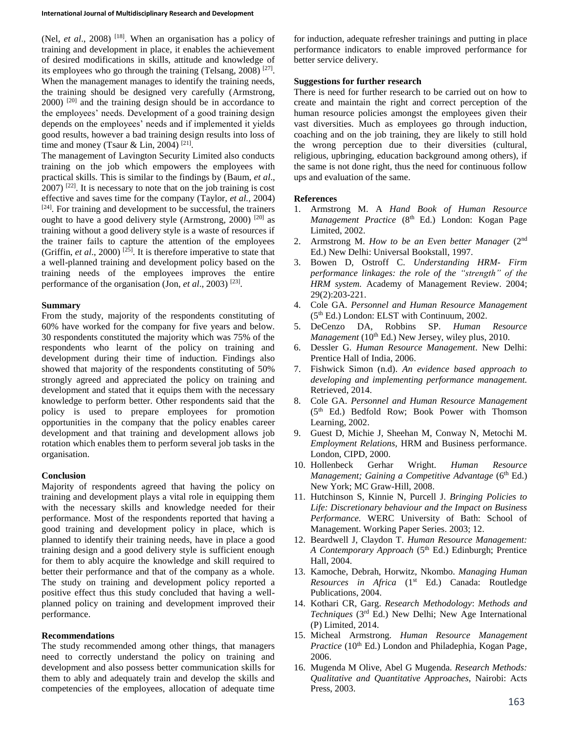(Nel, *et al.*, 2008) <sup>[18]</sup>. When an organisation has a policy of training and development in place, it enables the achievement of desired modifications in skills, attitude and knowledge of its employees who go through the training (Telsang, 2008)<sup>[27]</sup>. When the management manages to identify the training needs, the training should be designed very carefully (Armstrong, 2000)<sup>[20]</sup> and the training design should be in accordance to the employees' needs. Development of a good training design depends on the employees' needs and if implemented it yields good results, however a bad training design results into loss of time and money (Tsaur & Lin, 2004)<sup>[21]</sup>.

The management of Lavington Security Limited also conducts training on the job which empowers the employees with practical skills. This is similar to the findings by (Baum, *et al*.,  $(2007)$   $[22]$ . It is necessary to note that on the job training is cost effective and saves time for the company (Taylor, *et al.,* 2004)  $[24]$ . For training and development to be successful, the trainers ought to have a good delivery style (Armstrong, 2000)<sup>[20]</sup> as training without a good delivery style is a waste of resources if the trainer fails to capture the attention of the employees (Griffin, *et al.*, 2000)<sup>[25]</sup>. It is therefore imperative to state that a well-planned training and development policy based on the training needs of the employees improves the entire performance of the organisation (Jon, *et al.*, 2003)<sup>[23]</sup>.

#### **Summary**

From the study, majority of the respondents constituting of 60% have worked for the company for five years and below. 30 respondents constituted the majority which was 75% of the respondents who learnt of the policy on training and development during their time of induction. Findings also showed that majority of the respondents constituting of 50% strongly agreed and appreciated the policy on training and development and stated that it equips them with the necessary knowledge to perform better. Other respondents said that the policy is used to prepare employees for promotion opportunities in the company that the policy enables career development and that training and development allows job rotation which enables them to perform several job tasks in the organisation.

# **Conclusion**

Majority of respondents agreed that having the policy on training and development plays a vital role in equipping them with the necessary skills and knowledge needed for their performance. Most of the respondents reported that having a good training and development policy in place, which is planned to identify their training needs, have in place a good training design and a good delivery style is sufficient enough for them to ably acquire the knowledge and skill required to better their performance and that of the company as a whole. The study on training and development policy reported a positive effect thus this study concluded that having a wellplanned policy on training and development improved their performance.

#### **Recommendations**

The study recommended among other things, that managers need to correctly understand the policy on training and development and also possess better communication skills for them to ably and adequately train and develop the skills and competencies of the employees, allocation of adequate time

for induction, adequate refresher trainings and putting in place performance indicators to enable improved performance for better service delivery.

# **Suggestions for further research**

There is need for further research to be carried out on how to create and maintain the right and correct perception of the human resource policies amongst the employees given their vast diversities. Much as employees go through induction, coaching and on the job training, they are likely to still hold the wrong perception due to their diversities (cultural, religious, upbringing, education background among others), if the same is not done right, thus the need for continuous follow ups and evaluation of the same.

# **References**

- 1. Armstrong M. A *Hand Book of Human Resource Management Practice* (8<sup>th</sup> Ed.) London: Kogan Page Limited, 2002.
- 2. Armstrong M. *How to be an Even better Manager* (2nd Ed.) New Delhi: Universal Bookstall, 1997.
- 3. Bowen D, Ostroff C. *Understanding HRM- Firm performance linkages: the role of the "strength" of the HRM system.* Academy of Management Review. 2004; 29(2):203-221.
- 4. Cole GA. *Personnel and Human Resource Management* (5th Ed.) London: ELST with Continuum, 2002.
- 5. DeCenzo DA, Robbins SP. *Human Resource Management* (10<sup>th</sup> Ed.) New Jersey, wiley plus, 2010.
- 6. Dessler G. *Human Resource Management*. New Delhi: Prentice Hall of India, 2006.
- 7. Fishwick Simon (n.d). *An evidence based approach to developing and implementing performance management.* Retrieved, 2014.
- 8. Cole GA. *Personnel and Human Resource Management* (5th Ed.) Bedfold Row; Book Power with Thomson Learning, 2002.
- 9. Guest D, Michie J, Sheehan M, Conway N, Metochi M. *Employment Relations,* HRM and Business performance. London, CIPD, 2000.
- 10. Hollenbeck Gerhar Wright. *Human Resource Management; Gaining a Competitive Advantage* (6<sup>th</sup> Ed.) New York; MC Graw-Hill, 2008.
- 11. Hutchinson S, Kinnie N, Purcell J. *Bringing Policies to Life: Discretionary behaviour and the Impact on Business Performance.* WERC University of Bath: School of Management. Working Paper Series. 2003; 12.
- 12. Beardwell J, Claydon T. *Human Resource Management:*  A Contemporary *Approach* (5<sup>th</sup> Ed.) Edinburgh; Prentice Hall, 2004.
- 13. Kamoche, Debrah, Horwitz, Nkombo. *Managing Human Resources in Africa* (1st Ed.) Canada: Routledge Publications, 2004.
- 14. Kothari CR, Garg. *Research Methodology*: *Methods and Techniques* (3rd Ed.) New Delhi; New Age International (P) Limited, 2014.
- 15. Micheal Armstrong. *Human Resource Management Practice* (10<sup>th</sup> Ed.) London and Philadephia, Kogan Page, 2006.
- 16. Mugenda M Olive, Abel G Mugenda. *Research Methods: Qualitative and Quantitative Approaches,* Nairobi: Acts Press, 2003.